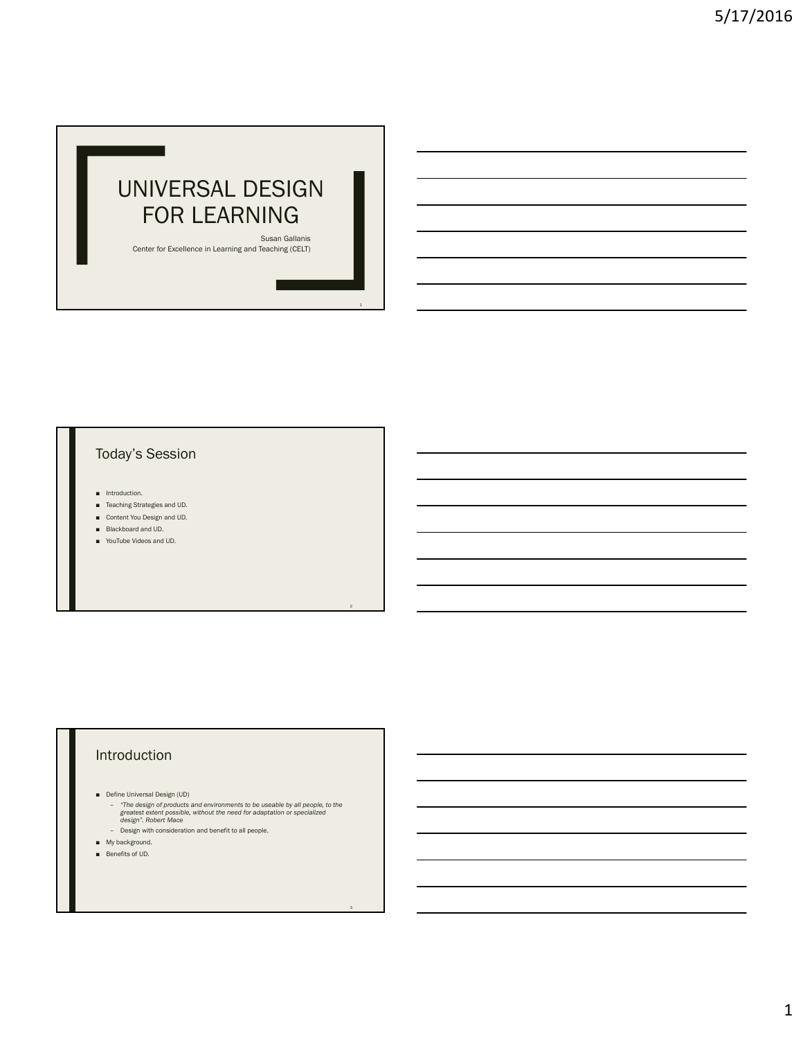# UNIVERSAL DESIGN FOR LEARNING

Susan Gallanis Center for Excellence in Learning and Teaching (CELT)

### Today's Session

 $\overline{\phantom{0}}$ 

- Introduction.
- Teaching Strategies and UD.
- Content You Design and UD.
- Blackboard and UD.
- YouTube Videos and UD.

## Introduction

- 
- Define Universal Design (UD)<br>- "The design of products and environments to be useable by all people, to the<br>greatest extent possible, without the need for adaptation or specialized<br>design". Robert Mace

3

- Design with consideration and benefit to all people.
- My background.
- Benefits of UD.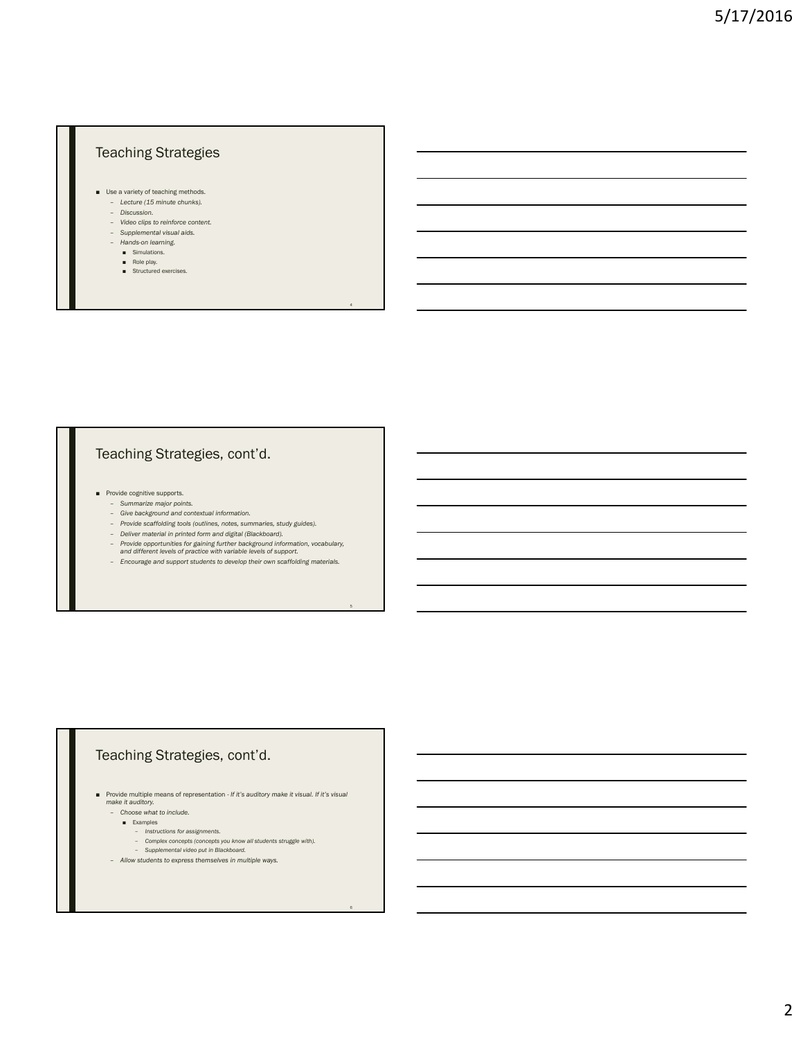## Teaching Strategies

- Use a variety of teaching methods. – *Lecture (15 minute chunks).*
	- *Discussion.*
	- *Video clips to reinforce content.*
	- *Supplemental visual aids.*
	- *Hands-on learning.*
		- Simulations. Role play.
		- Structured exercises.
		-

### Teaching Strategies, cont'd.

- Provide cognitive supports. *Summarize major points.*
	-
	- *Give background and contextual information.*
	- *Provide scaffolding tools (outlines, notes, summaries, study guides).*
	- *Deliver material in printed form and digital (Blackboard).*
	- *Provide opportunities for gaining further background information, vocabulary, and different levels of practice with variable levels of support.*

4

5

6

– *Encourage and support students to develop their own scaffolding materials.*

## Teaching Strategies, cont'd.

■ Provide multiple means of representation - *If it's auditory make it visual. If it's visual make it auditory.* – *Choose what to include.*

- Examples
	- *Instructions for assignments.*
	-
- *Complex concepts (concepts you know all students struggle with). Supplemental video put in Blackboard.*
- *Allow students to express themselves in multiple ways.*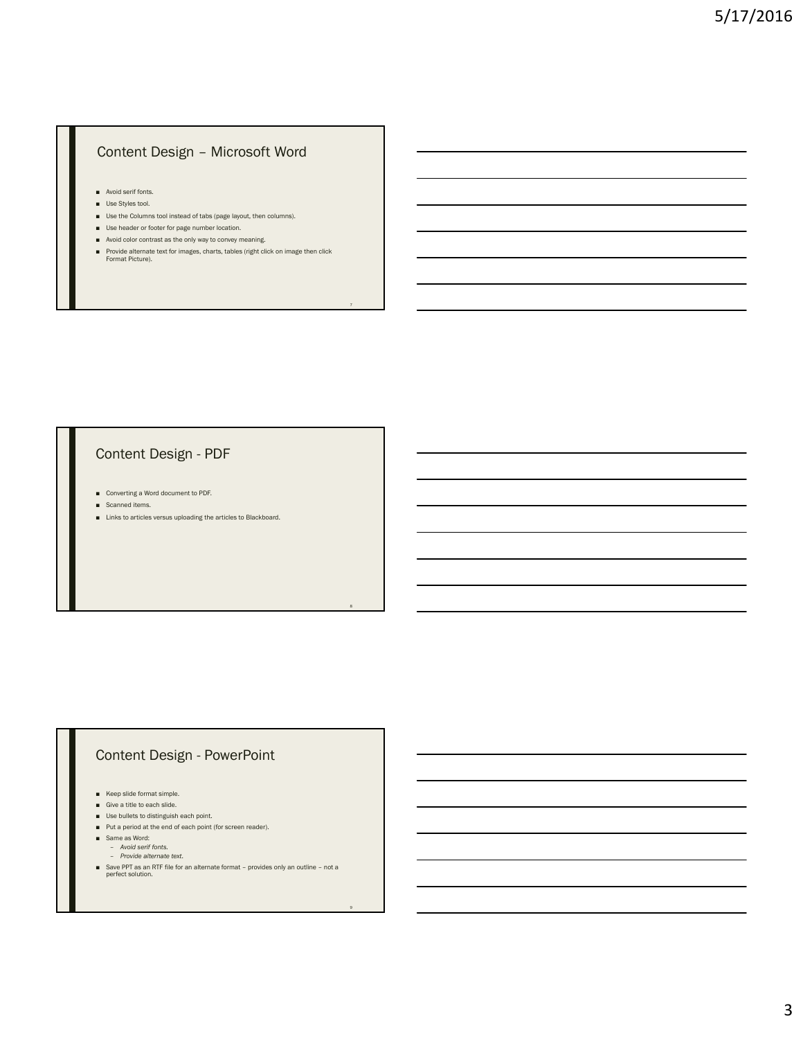### Content Design – Microsoft Word

- Avoid serif fonts.
- Use Styles tool.
- Use the Columns tool instead of tabs (page layout, then columns).
- Use header or footer for page number location.
- Avoid color contrast as the only way to convey meaning.
- Provide alternate text for images, charts, tables (right click on image then click Format Picture).

#### Content Design - PDF

- Converting a Word document to PDF.
- Scanned items.
- Links to articles versus uploading the articles to Blackboard.

8

9

### Content Design - PowerPoint

- Keep slide format simple.
- Give a title to each slide.
- Use bullets to distinguish each point.
- Put a period at the end of each point (for screen reader).
- Same as Word:
	- *Avoid serif fonts. Provide alternate text.*
	-
- Save PPT as an RTF file for an alternate format provides only an outline not a perfect solution.